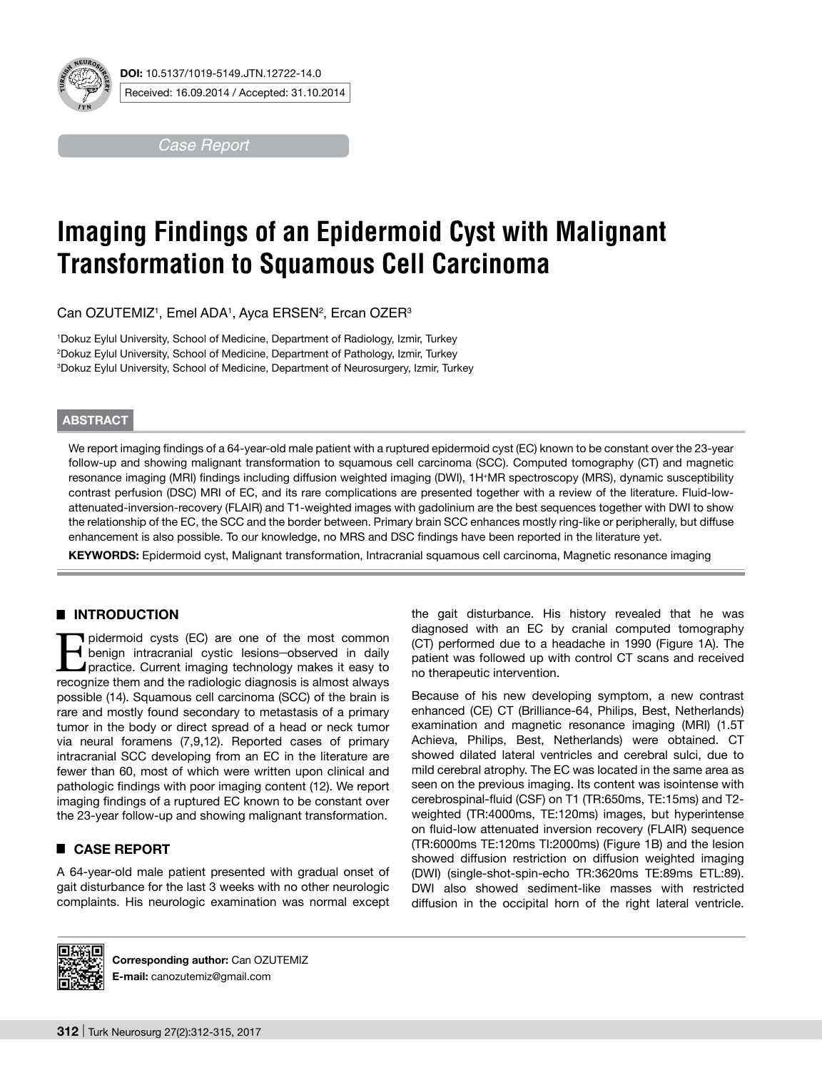

**DOI:** 10.5137/1019-5149.JTN.12722-14.0 Received: 16.09.2014 / Accepted: 31.10.2014

*Case Report*

# **Imaging Findings of an Epidermoid Cyst with Malignant Transformation to Squamous Cell Carcinoma**

Can OZUTEMIZ1, Emel ADA1, Ayca ERSEN<del>2, Ercan OZER3</del>

1 Dokuz Eylul University, School of Medicine, Department of Radiology, Izmir, Turkey 2 Dokuz Eylul University, School of Medicine, Department of Pathology, Izmir, Turkey 3 Dokuz Eylul University, School of Medicine, Department of Neurosurgery, Izmir, Turkey

### **ABSTRACT**

We report imaging findings of a 64-year-old male patient with a ruptured epidermoid cyst (EC) known to be constant over the 23-year follow-up and showing malignant transformation to squamous cell carcinoma (SCC). Computed tomography (CT) and magnetic resonance imaging (MRI) findings including diffusion weighted imaging (DWI), 1H+MR spectroscopy (MRS), dynamic susceptibility contrast perfusion (DSC) MRI of EC, and its rare complications are presented together with a review of the literature. Fluid-lowattenuated-inversion-recovery (FLAIR) and T1-weighted images with gadolinium are the best sequences together with DWI to show the relationship of the EC, the SCC and the border between. Primary brain SCC enhances mostly ring-like or peripherally, but diffuse enhancement is also possible. To our knowledge, no MRS and DSC findings have been reported in the literature yet.

**Keywords:** Epidermoid cyst, Malignant transformation, Intracranial squamous cell carcinoma, Magnetic resonance imaging

## █ **INTRODUCTION**

pidermoid cysts (EC) are one of the most common<br>benign intracranial cystic lesions—observed in daily<br>practice. Current imaging technology makes it easy to<br>recognize them and the radiologic diagnosis is almost always benign intracranial cystic lesions-observed in daily practice. Current imaging technology makes it easy to recognize them and the radiologic diagnosis is almost always possible (14). Squamous cell carcinoma (SCC) of the brain is rare and mostly found secondary to metastasis of a primary tumor in the body or direct spread of a head or neck tumor via neural foramens (7,9,12). Reported cases of primary intracranial SCC developing from an EC in the literature are fewer than 60, most of which were written upon clinical and pathologic findings with poor imaging content (12). We report imaging findings of a ruptured EC known to be constant over the 23-year follow-up and showing malignant transformation.

## █ **CASE REPORT**

A 64-year-old male patient presented with gradual onset of gait disturbance for the last 3 weeks with no other neurologic complaints. His neurologic examination was normal except the gait disturbance. His history revealed that he was diagnosed with an EC by cranial computed tomography (CT) performed due to a headache in 1990 (Figure 1A). The patient was followed up with control CT scans and received no therapeutic intervention.

Because of his new developing symptom, a new contrast enhanced (CE) CT (Brilliance-64, Philips, Best, Netherlands) examination and magnetic resonance imaging (MRI) (1.5T Achieva, Philips, Best, Netherlands) were obtained. CT showed dilated lateral ventricles and cerebral sulci, due to mild cerebral atrophy. The EC was located in the same area as seen on the previous imaging. Its content was isointense with cerebrospinal-fluid (CSF) on T1 (TR:650ms, TE:15ms) and T2 weighted (TR:4000ms, TE:120ms) images, but hyperintense on fluid-low attenuated inversion recovery (FLAIR) sequence (TR:6000ms TE:120ms TI:2000ms) (Figure 1B) and the lesion showed diffusion restriction on diffusion weighted imaging (DWI) (single-shot-spin-echo TR:3620ms TE:89ms ETL:89). DWI also showed sediment-like masses with restricted diffusion in the occipital horn of the right lateral ventricle.



**Corresponding author:** Can OZUTEMIZ **E-mail:** canozutemiz@gmail.com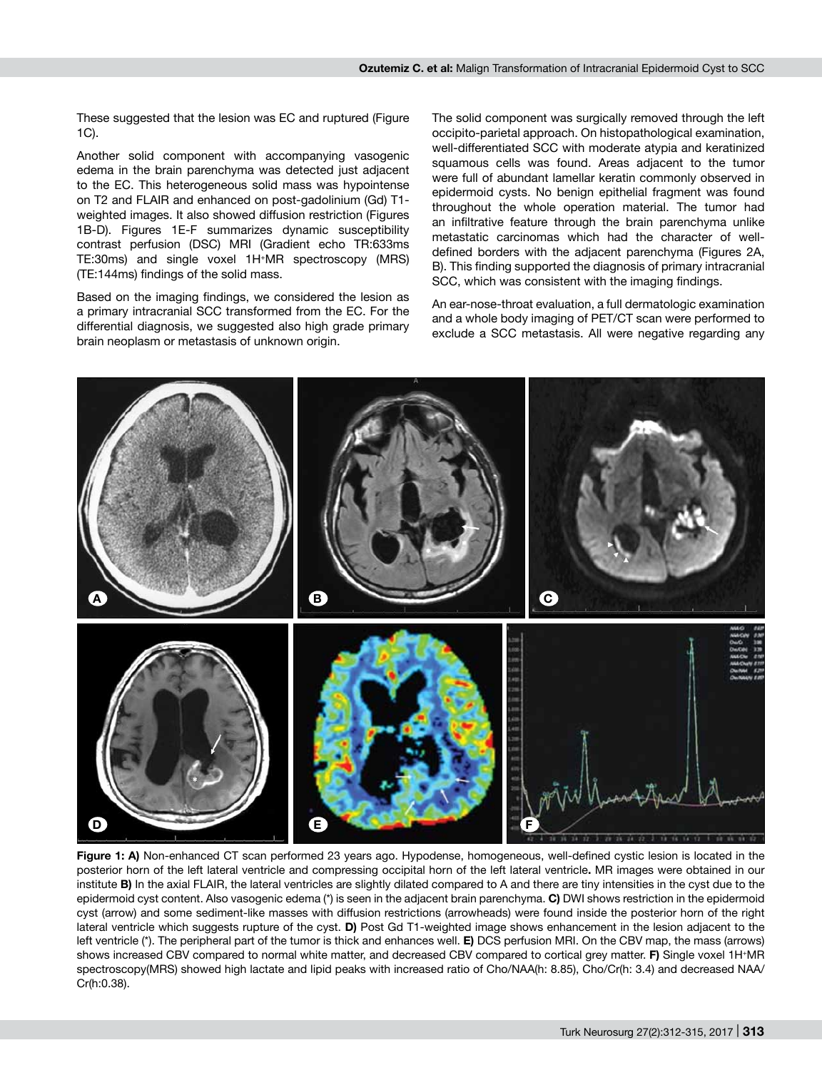These suggested that the lesion was EC and ruptured (Figure 1C).

Another solid component with accompanying vasogenic edema in the brain parenchyma was detected just adjacent to the EC. This heterogeneous solid mass was hypointense on T2 and FLAIR and enhanced on post-gadolinium (Gd) T1 weighted images. It also showed diffusion restriction (Figures 1B-D). Figures 1E-F summarizes dynamic susceptibility contrast perfusion (DSC) MRI (Gradient echo TR:633ms TE:30ms) and single voxel 1H+MR spectroscopy (MRS) (TE:144ms) findings of the solid mass.

Based on the imaging findings, we considered the lesion as a primary intracranial SCC transformed from the EC. For the differential diagnosis, we suggested also high grade primary brain neoplasm or metastasis of unknown origin.

The solid component was surgically removed through the left occipito-parietal approach. On histopathological examination, well-differentiated SCC with moderate atypia and keratinized squamous cells was found. Areas adjacent to the tumor were full of abundant lamellar keratin commonly observed in epidermoid cysts. No benign epithelial fragment was found throughout the whole operation material. The tumor had an infiltrative feature through the brain parenchyma unlike metastatic carcinomas which had the character of welldefined borders with the adjacent parenchyma (Figures 2A, B). This finding supported the diagnosis of primary intracranial SCC, which was consistent with the imaging findings.

An ear-nose-throat evaluation, a full dermatologic examination and a whole body imaging of PET/CT scan were performed to exclude a SCC metastasis. All were negative regarding any



**Figure 1: A)** Non-enhanced CT scan performed 23 years ago. Hypodense, homogeneous, well-defined cystic lesion is located in the posterior horn of the left lateral ventricle and compressing occipital horn of the left lateral ventricle**.** MR images were obtained in our institute **B)** In the axial FLAIR, the lateral ventricles are slightly dilated compared to A and there are tiny intensities in the cyst due to the epidermoid cyst content. Also vasogenic edema (\*) is seen in the adjacent brain parenchyma. **C)** DWI shows restriction in the epidermoid cyst (arrow) and some sediment-like masses with diffusion restrictions (arrowheads) were found inside the posterior horn of the right lateral ventricle which suggests rupture of the cyst. **d)** Post Gd T1-weighted image shows enhancement in the lesion adjacent to the left ventricle (\*). The peripheral part of the tumor is thick and enhances well. **E)** DCS perfusion MRI. On the CBV map, the mass (arrows) shows increased CBV compared to normal white matter, and decreased CBV compared to cortical grey matter. **F)** Single voxel 1H+MR spectroscopy(MRS) showed high lactate and lipid peaks with increased ratio of Cho/NAA(h: 8.85), Cho/Cr(h: 3.4) and decreased NAA/ Cr(h:0.38).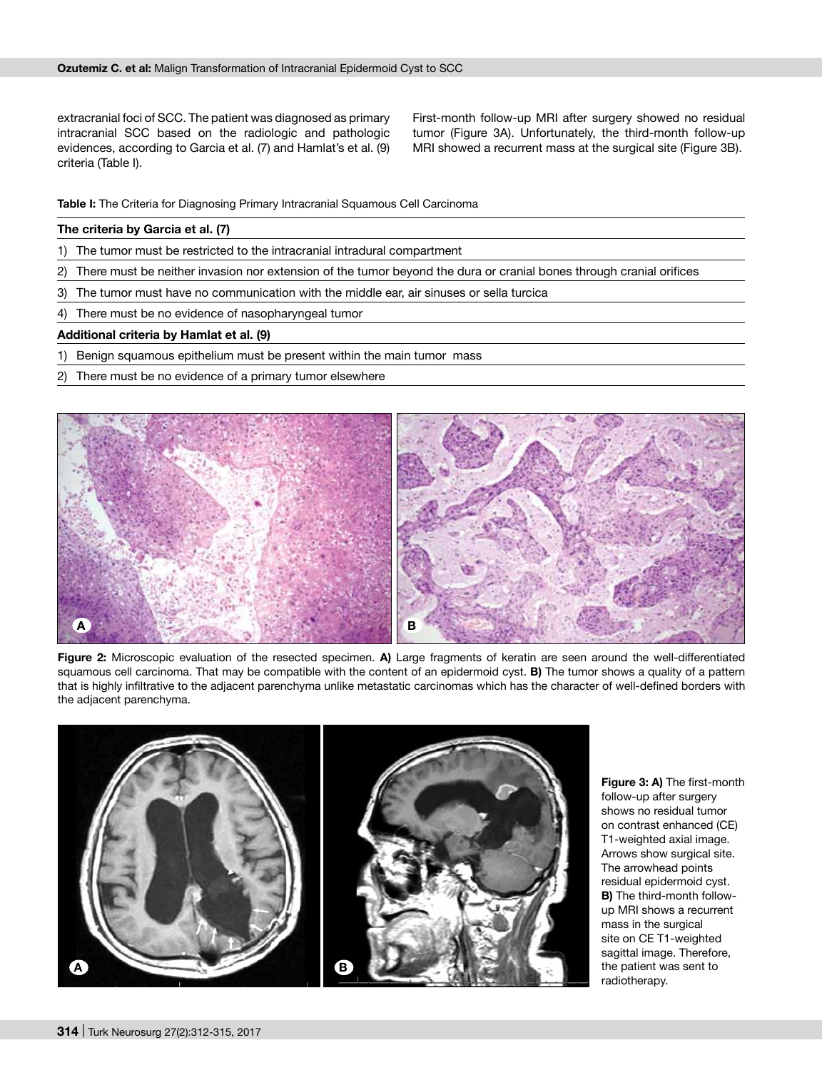extracranial foci of SCC. The patient was diagnosed as primary intracranial SCC based on the radiologic and pathologic evidences, according to Garcia et al. (7) and Hamlat's et al. (9) criteria (Table I).

First-month follow-up MRI after surgery showed no residual tumor (Figure 3A). Unfortunately, the third-month follow-up MRI showed a recurrent mass at the surgical site (Figure 3B).

**Table I:** The Criteria for Diagnosing Primary Intracranial Squamous Cell Carcinoma

#### **The criteria by Garcia et al. (7)**

- 1) The tumor must be restricted to the intracranial intradural compartment
- 2) There must be neither invasion nor extension of the tumor beyond the dura or cranial bones through cranial orifices
- 3) The tumor must have no communication with the middle ear, air sinuses or sella turcica
- 4) There must be no evidence of nasopharyngeal tumor

#### **Additional criteria by Hamlat et al. (9)**

- 1) Benign squamous epithelium must be present within the main tumor mass
- 2) There must be no evidence of a primary tumor elsewhere



**Figure 2:** Microscopic evaluation of the resected specimen. **A)** Large fragments of keratin are seen around the well-differentiated squamous cell carcinoma. That may be compatible with the content of an epidermoid cyst. **B)** The tumor shows a quality of a pattern that is highly infiltrative to the adjacent parenchyma unlike metastatic carcinomas which has the character of well-defined borders with the adjacent parenchyma.



**Figure 3: A)** The first-month follow-up after surgery shows no residual tumor on contrast enhanced (CE) T1-weighted axial image. Arrows show surgical site. The arrowhead points residual epidermoid cyst. **B)** The third-month followup MRI shows a recurrent mass in the surgical site on CE T1-weighted sagittal image. Therefore, the patient was sent to radiotherapy.